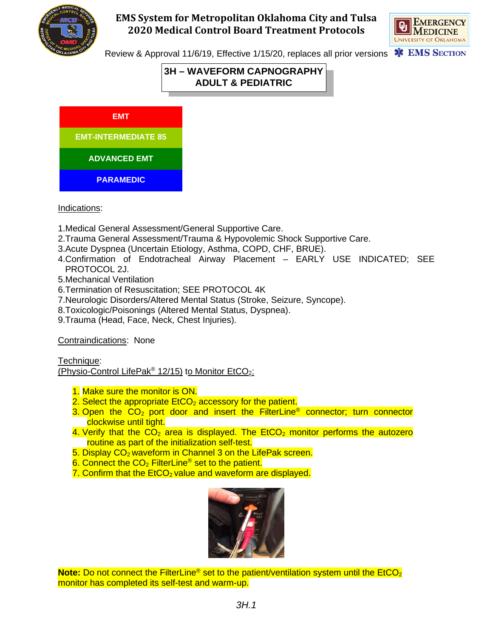



Review & Approval 11/6/19, Effective 1/15/20, replaces all prior versions **\*\*** EMS SECTION

# **3H – WAVEFORM CAPNOGRAPHY ADULT & PEDIATRIC**

**EMT-INTERMEDIATE 85 PARAMEDIC ADVANCED EMT EMT**

**G C C** 

Indications:

- 1.Medical General Assessment/General Supportive Care.
- 2.Trauma General Assessment/Trauma & Hypovolemic Shock Supportive Care.
- 3.Acute Dyspnea (Uncertain Etiology, Asthma, COPD, CHF, BRUE).
- 4.Confirmation of Endotracheal Airway Placement EARLY USE INDICATED; SEE PROTOCOL 2J.
- 5.Mechanical Ventilation
- 6.Termination of Resuscitation; SEE PROTOCOL 4K
- 7.Neurologic Disorders/Altered Mental Status (Stroke, Seizure, Syncope).
- 8.Toxicologic/Poisonings (Altered Mental Status, Dyspnea).
- 9.Trauma (Head, Face, Neck, Chest Injuries).

Contraindications: None

Technique:

(Physio-Control LifePak<sup>®</sup> 12/15) to Monitor EtCO<sub>2</sub>:

- 1. Make sure the monitor is ON.
- 2. Select the appropriate  $E<sub>1</sub>CO<sub>2</sub>$  accessory for the patient.
- 3. Open the  $CO<sub>2</sub>$  port door and insert the FilterLine<sup>®</sup> connector; turn connector clockwise until tight.
- 4. Verify that the  $CO<sub>2</sub>$  area is displayed. The EtCO<sub>2</sub> monitor performs the autozero routine as part of the initialization self-test.
- 5. Display CO<sub>2</sub> waveform in Channel 3 on the LifePak screen.
- 6. Connect the  $CO<sub>2</sub>$  FilterLine<sup>®</sup> set to the patient.
- 7. Confirm that the  $E<sub>1</sub>CO<sub>2</sub>$  value and waveform are displayed.



**Note:** Do not connect the FilterLine<sup>®</sup> set to the patient/ventilation system until the EtCO<sub>2</sub> monitor has completed its self-test and warm-up.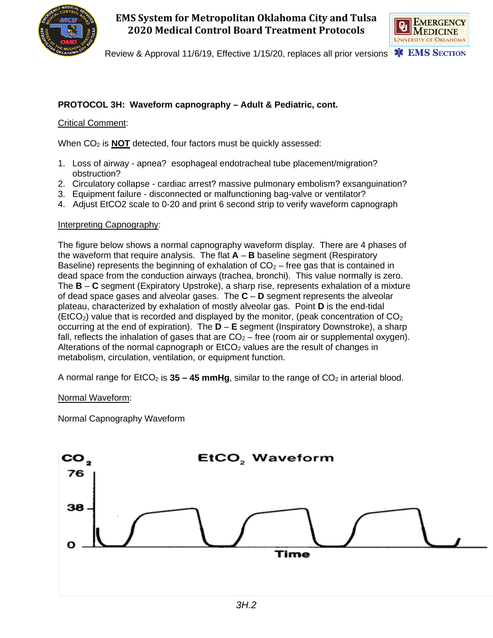



Review & Approval 11/6/19, Effective 1/15/20, replaces all prior versions **\*\*** EMS SECTION

## **PROTOCOL 3H: Waveform capnography – Adult & Pediatric, cont.**

### Critical Comment:

When CO<sub>2</sub> is **NOT** detected, four factors must be quickly assessed:

- 1. Loss of airway apnea? esophageal endotracheal tube placement/migration? obstruction?
- 2. Circulatory collapse cardiac arrest? massive pulmonary embolism? exsanguination?
- 3. Equipment failure disconnected or malfunctioning bag-valve or ventilator?
- 4. Adjust EtCO2 scale to 0-20 and print 6 second strip to verify waveform capnograph

#### Interpreting Capnography:

The figure below shows a normal capnography waveform display. There are 4 phases of the waveform that require analysis. The flat **A** – **B** baseline segment (Respiratory Baseline) represents the beginning of exhalation of  $CO<sub>2</sub>$  – free gas that is contained in dead space from the conduction airways (trachea, bronchi). This value normally is zero. The **B** – **C** segment (Expiratory Upstroke), a sharp rise, represents exhalation of a mixture of dead space gases and alveolar gases. The **C** – **D** segment represents the alveolar plateau, characterized by exhalation of mostly alveolar gas. Point **D** is the end-tidal (EtCO<sub>2</sub>) value that is recorded and displayed by the monitor, (peak concentration of  $CO<sub>2</sub>$ occurring at the end of expiration). The **D** – **E** segment (Inspiratory Downstroke), a sharp fall, reflects the inhalation of gases that are  $CO<sub>2</sub> -$  free (room air or supplemental oxygen). Alterations of the normal capnograph or  $ECO<sub>2</sub>$  values are the result of changes in metabolism, circulation, ventilation, or equipment function.

A normal range for  $ECO<sub>2</sub>$  is  $35 - 45$  mmHg, similar to the range of  $CO<sub>2</sub>$  in arterial blood.

#### Normal Waveform:

Normal Capnography Waveform

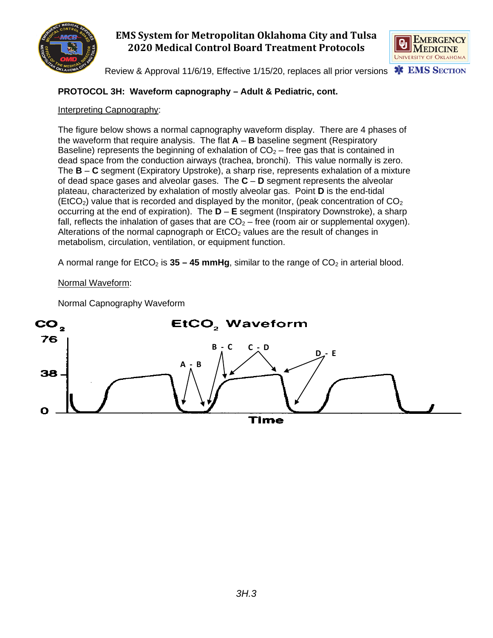



Review & Approval 11/6/19, Effective 1/15/20, replaces all prior versions

## **PROTOCOL 3H: Waveform capnography – Adult & Pediatric, cont.**

### Interpreting Capnography:

The figure below shows a normal capnography waveform display. There are 4 phases of the waveform that require analysis. The flat **A** – **B** baseline segment (Respiratory Baseline) represents the beginning of exhalation of  $CO<sub>2</sub>$  – free gas that is contained in dead space from the conduction airways (trachea, bronchi). This value normally is zero. The **B** – **C** segment (Expiratory Upstroke), a sharp rise, represents exhalation of a mixture of dead space gases and alveolar gases. The **C** – **D** segment represents the alveolar plateau, characterized by exhalation of mostly alveolar gas. Point **D** is the end-tidal (EtCO<sub>2</sub>) value that is recorded and displayed by the monitor, (peak concentration of  $CO<sub>2</sub>$ ) occurring at the end of expiration). The **D** – **E** segment (Inspiratory Downstroke), a sharp fall, reflects the inhalation of gases that are  $CO<sub>2</sub> -$  free (room air or supplemental oxygen). Alterations of the normal capnograph or  $ECO<sub>2</sub>$  values are the result of changes in metabolism, circulation, ventilation, or equipment function.

A normal range for  $ECO<sub>2</sub>$  is  $35 - 45$  mmHg, similar to the range of  $CO<sub>2</sub>$  in arterial blood.

### Normal Waveform:

Normal Capnography Waveform

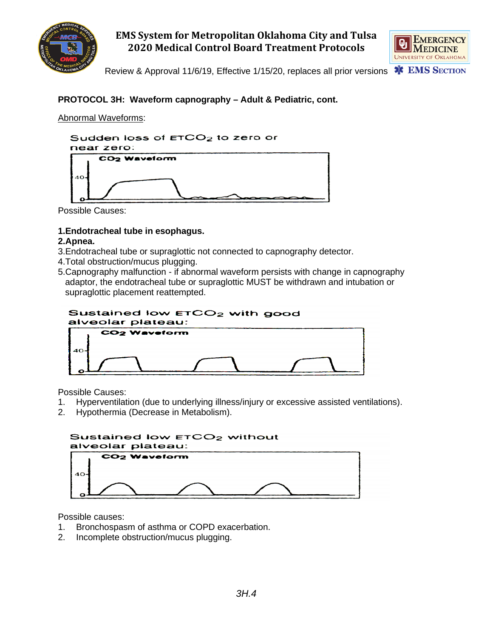



Review & Approval 11/6/19, Effective 1/15/20, replaces all prior versions

## **PROTOCOL 3H: Waveform capnography – Adult & Pediatric, cont.**

Abnormal Waveforms:



Possible Causes:

### **1.Endotracheal tube in esophagus.**

#### **2.Apnea.**

- 3.Endotracheal tube or supraglottic not connected to capnography detector.
- 4.Total obstruction/mucus plugging.
- 5.Capnography malfunction if abnormal waveform persists with change in capnography adaptor, the endotracheal tube or supraglottic MUST be withdrawn and intubation or supraglottic placement reattempted.

#### Sustained low ETCO<sub>2</sub> with good alveolar plateau:



Possible Causes:

- 1. Hyperventilation (due to underlying illness/injury or excessive assisted ventilations).
- 2. Hypothermia (Decrease in Metabolism).



Possible causes:

- 1. Bronchospasm of asthma or COPD exacerbation.
- 2. Incomplete obstruction/mucus plugging.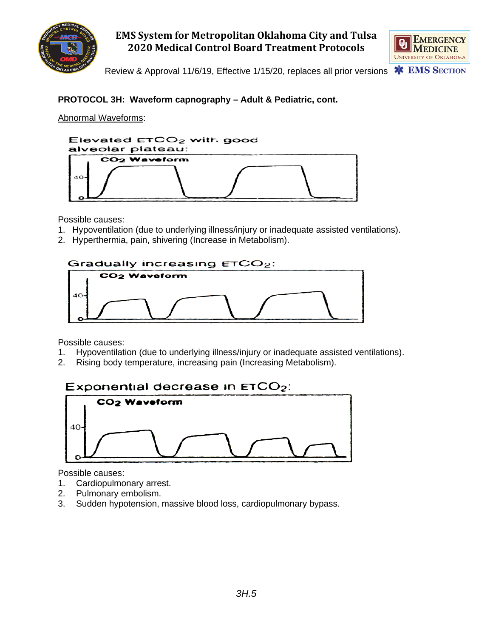



Review & Approval 11/6/19, Effective 1/15/20, replaces all prior versions

## **PROTOCOL 3H: Waveform capnography – Adult & Pediatric, cont.**

Abnormal Waveforms:



Possible causes:

- 1. Hypoventilation (due to underlying illness/injury or inadequate assisted ventilations).
- 2. Hyperthermia, pain, shivering (Increase in Metabolism).



Possible causes:

- 1. Hypoventilation (due to underlying illness/injury or inadequate assisted ventilations).
- 2. Rising body temperature, increasing pain (Increasing Metabolism).

# Exponential decrease in  $ETCO<sub>2</sub>$ :



Possible causes:

- 1. Cardiopulmonary arrest.
- 2. Pulmonary embolism.
- 3. Sudden hypotension, massive blood loss, cardiopulmonary bypass.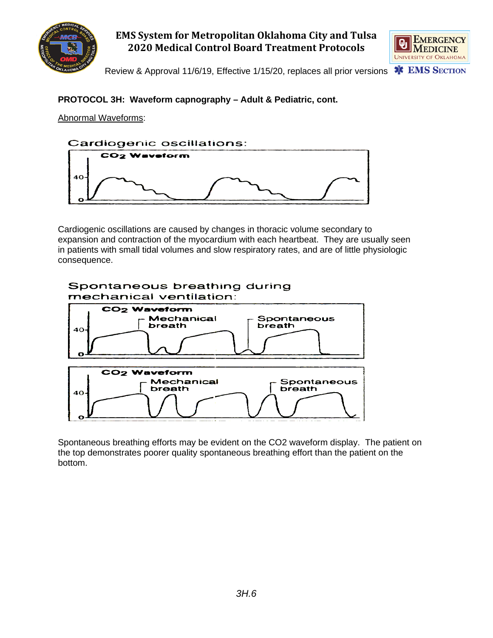



Review & Approval 11/6/19, Effective 1/15/20, replaces all prior versions

### **PROTOCOL 3H: Waveform capnography – Adult & Pediatric, cont.**

Abnormal Waveforms:



Cardiogenic oscillations are caused by changes in thoracic volume secondary to expansion and contraction of the myocardium with each heartbeat. They are usually seen in patients with small tidal volumes and slow respiratory rates, and are of little physiologic consequence.



Spontaneous breathing efforts may be evident on the CO2 waveform display. The patient on the top demonstrates poorer quality spontaneous breathing effort than the patient on the bottom.